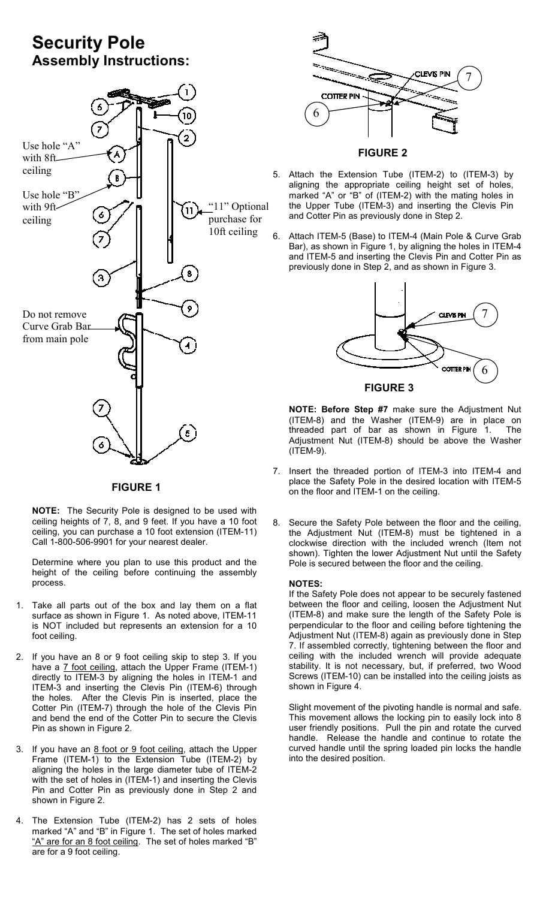# Security Pole Assembly Instructions:



FIGURE 1

NOTE: The Security Pole is designed to be used with ceiling heights of 7, 8, and 9 feet. If you have a 10 foot ceiling, you can purchase a 10 foot extension (ITEM-11) Call 1-800-506-9901 for your nearest dealer.

Determine where you plan to use this product and the height of the ceiling before continuing the assembly process.

- 1. Take all parts out of the box and lay them on a flat surface as shown in Figure 1. As noted above, ITEM-11 is NOT included but represents an extension for a 10 foot ceiling.
- 2. If you have an 8 or 9 foot ceiling skip to step 3. If you have a 7 foot ceiling, attach the Upper Frame (ITEM-1) directly to ITEM-3 by aligning the holes in ITEM-1 and ITEM-3 and inserting the Clevis Pin (ITEM-6) through the holes. After the Clevis Pin is inserted, place the Cotter Pin (ITEM-7) through the hole of the Clevis Pin and bend the end of the Cotter Pin to secure the Clevis Pin as shown in Figure 2.
- 3. If you have an 8 foot or 9 foot ceiling, attach the Upper Frame (ITEM-1) to the Extension Tube (ITEM-2) by aligning the holes in the large diameter tube of ITEM-2 with the set of holes in (ITEM-1) and inserting the Clevis Pin and Cotter Pin as previously done in Step 2 and shown in Figure 2.
- 4. The Extension Tube (ITEM-2) has 2 sets of holes marked "A" and "B" in Figure 1. The set of holes marked "A" are for an 8 foot ceiling. The set of holes marked "B" are for a 9 foot ceiling.



#### FIGURE 2

- 5. Attach the Extension Tube (ITEM-2) to (ITEM-3) by aligning the appropriate ceiling height set of holes, marked "A" or "B" of (ITEM-2) with the mating holes in the Upper Tube (ITEM-3) and inserting the Clevis Pin and Cotter Pin as previously done in Step 2.
- 6. Attach ITEM-5 (Base) to ITEM-4 (Main Pole & Curve Grab Bar), as shown in Figure 1, by aligning the holes in ITEM-4 and ITEM-5 and inserting the Clevis Pin and Cotter Pin as previously done in Step 2, and as shown in Figure 3.



NOTE: Before Step #7 make sure the Adjustment Nut (ITEM-8) and the Washer (ITEM-9) are in place on threaded part of bar as shown in Figure 1. The Adjustment Nut (ITEM-8) should be above the Washer (ITEM-9).

- 7. Insert the threaded portion of ITEM-3 into ITEM-4 and place the Safety Pole in the desired location with ITEM-5 on the floor and ITEM-1 on the ceiling.
- 8. Secure the Safety Pole between the floor and the ceiling, the Adjustment Nut (ITEM-8) must be tightened in a clockwise direction with the included wrench (Item not shown). Tighten the lower Adjustment Nut until the Safety Pole is secured between the floor and the ceiling.

#### NOTES:

If the Safety Pole does not appear to be securely fastened between the floor and ceiling, loosen the Adjustment Nut (ITEM-8) and make sure the length of the Safety Pole is perpendicular to the floor and ceiling before tightening the Adjustment Nut (ITEM-8) again as previously done in Step 7. If assembled correctly, tightening between the floor and ceiling with the included wrench will provide adequate stability. It is not necessary, but, if preferred, two Wood Screws (ITEM-10) can be installed into the ceiling joists as shown in Figure 4.

Slight movement of the pivoting handle is normal and safe. This movement allows the locking pin to easily lock into 8 user friendly positions. Pull the pin and rotate the curved handle. Release the handle and continue to rotate the curved handle until the spring loaded pin locks the handle into the desired position.